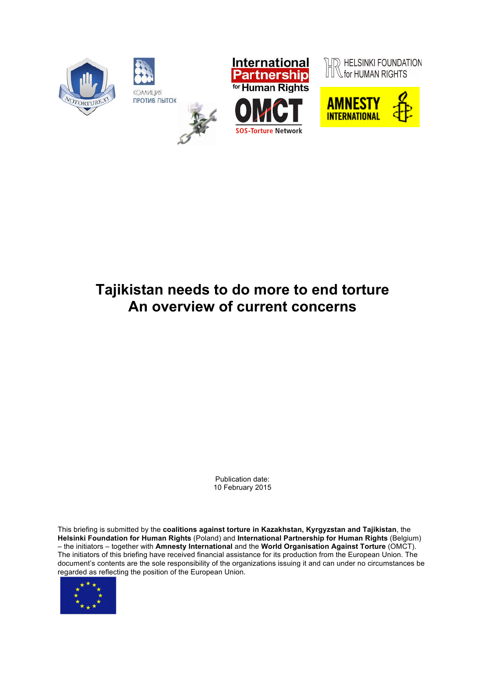

# **Tajikistan needs to do more to end torture An overview of current concerns**

Publication date: 10 February 2015

This briefing is submitted by the **coalitions against torture in Kazakhstan, Kyrgyzstan and Tajikistan**, the **Helsinki Foundation for Human Rights** (Poland) and **International Partnership for Human Rights** (Belgium) – the initiators – together with **Amnesty International** and the **World Organisation Against Torture** (OMCT). The initiators of this briefing have received financial assistance for its production from the European Union. The document's contents are the sole responsibility of the organizations issuing it and can under no circumstances be regarded as reflecting the position of the European Union*.*

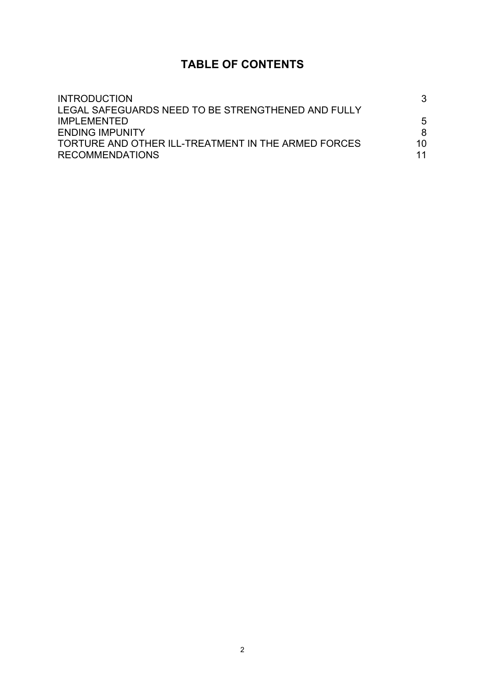## **TABLE OF CONTENTS**

| <b>INTRODUCTION</b><br>LEGAL SAFEGUARDS NEED TO BE STRENGTHENED AND FULLY<br><b>IMPLEMENTED</b><br><b>ENDING IMPUNITY</b> |        |                                                     |    |
|---------------------------------------------------------------------------------------------------------------------------|--------|-----------------------------------------------------|----|
|                                                                                                                           | 5<br>8 |                                                     |    |
|                                                                                                                           |        | TORTURE AND OTHER ILL-TREATMENT IN THE ARMED FORCES | 10 |
|                                                                                                                           |        | <b>RECOMMENDATIONS</b>                              | 11 |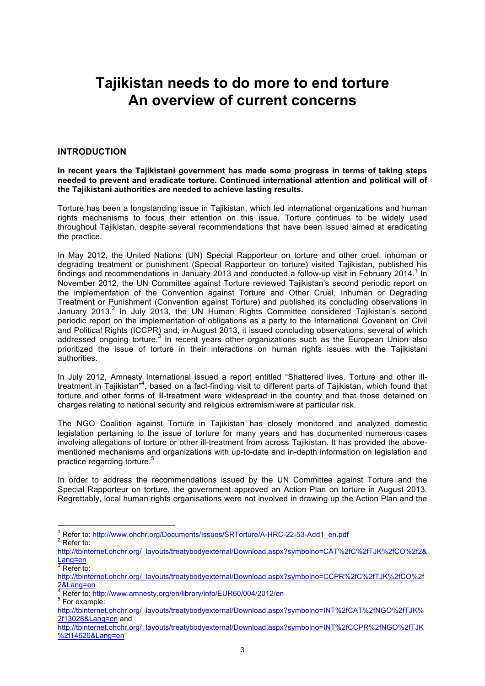## **Tajikistan needs to do more to end torture An overview of current concerns**

## **INTRODUCTION**

**In recent years the Tajikistani government has made some progress in terms of taking steps needed to prevent and eradicate torture. Continued international attention and political will of the Tajikistani authorities are needed to achieve lasting results.**

Torture has been a longstanding issue in Tajikistan, which led international organizations and human rights mechanisms to focus their attention on this issue. Torture continues to be widely used throughout Tajikistan, despite several recommendations that have been issued aimed at eradicating the practice.

In May 2012, the United Nations (UN) Special Rapporteur on torture and other cruel, inhuman or degrading treatment or punishment (Special Rapporteur on torture) visited Tajikistan, published his findings and recommendations in January 2013 and conducted a follow-up visit in February 2014.<sup>1</sup> In November 2012, the UN Committee against Torture reviewed Tajikistan's second periodic report on the implementation of the Convention against Torture and Other Cruel, Inhuman or Degrading Treatment or Punishment (Convention against Torture) and published its concluding observations in January 2013.<sup>2</sup> In July 2013, the UN Human Rights Committee considered Tajikistan's second periodic report on the implementation of obligations as a party to the International Covenant on Civil and Political Rights (ICCPR) and, in August 2013, it issued concluding observations, several of which addressed ongoing torture.<sup>3</sup> In recent years other organizations such as the European Union also prioritized the issue of torture in their interactions on human rights issues with the Tajikistani authorities.

In July 2012, Amnesty International issued a report entitled "Shattered lives. Torture and other illtreatment in Tajikistan<sup>"4</sup>, based on a fact-finding visit to different parts of Tajikistan, which found that torture and other forms of ill-treatment were widespread in the country and that those detained on charges relating to national security and religious extremism were at particular risk.

The NGO Coalition against Torture in Tajikistan has closely monitored and analyzed domestic legislation pertaining to the issue of torture for many years and has documented numerous cases involving allegations of torture or other ill-treatment from across Tajikistan. It has provided the abovementioned mechanisms and organizations with up-to-date and in-depth information on legislation and practice regarding torture.<sup>5</sup>

In order to address the recommendations issued by the UN Committee against Torture and the Special Rapporteur on torture, the government approved an Action Plan on torture in August 2013. Regrettably, local human rights organisations were not involved in drawing up the Action Plan and the

 $\frac{1}{1}$  Defer to: http://www.ebobr.org/Dee <sup>'</sup> Refer to: <u>http://www.ohchr.org/Documents/Issues/SRTorture/A-HRC-22-53-Add1\_en.pdf<br><sup>2</sup> Pefer to:</u>  $2$  Refer to:

http://tbinternet.ohchr.org/\_layouts/treatybodyexternal/Download.aspx?symbolno=CAT%2fC%2fTJK%2fCO%2f2& Lang=en<br><sup>3</sup> Defer te

Refer to:

http://tbinternet.ohchr.org/\_layouts/treatybodyexternal/Download.aspx?symbolno=CCPR%2fC%2fTJK%2fCO%2f

<sup>&</sup>lt;u>2&Lang=en</u><br><sup>4</sup> Refer to: <u>http://www.amnesty.org/en/library/info/EUR60/004/2012/en</u><br><sup>5</sup> Eer evample:  $5$  For example:

http://tbinternet.ohchr.org/\_layouts/treatybodyexternal/Download.aspx?symbolno=INT%2fCAT%2fNGO%2fTJK% 2f13028&Lang=en and

http://tbinternet.ohchr.org/\_layouts/treatybodyexternal/Download.aspx?symbolno=INT%2fCCPR%2fNGO%2fTJK %2f14620&Lang=en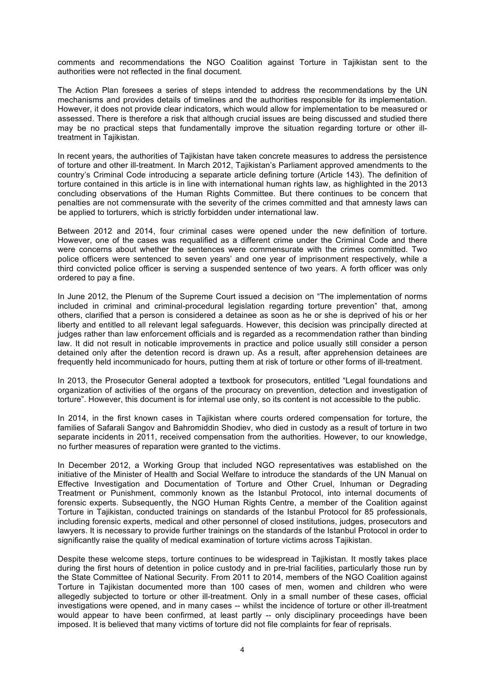comments and recommendations the NGO Coalition against Torture in Tajikistan sent to the authorities were not reflected in the final document.

The Action Plan foresees a series of steps intended to address the recommendations by the UN mechanisms and provides details of timelines and the authorities responsible for its implementation. However, it does not provide clear indicators, which would allow for implementation to be measured or assessed. There is therefore a risk that although crucial issues are being discussed and studied there may be no practical steps that fundamentally improve the situation regarding torture or other illtreatment in Tajikistan.

In recent years, the authorities of Tajikistan have taken concrete measures to address the persistence of torture and other ill-treatment. In March 2012, Tajikistan's Parliament approved amendments to the country's Criminal Code introducing a separate article defining torture (Article 143). The definition of torture contained in this article is in line with international human rights law, as highlighted in the 2013 concluding observations of the Human Rights Committee. But there continues to be concern that penalties are not commensurate with the severity of the crimes committed and that amnesty laws can be applied to torturers, which is strictly forbidden under international law.

Between 2012 and 2014, four criminal cases were opened under the new definition of torture. However, one of the cases was requalified as a different crime under the Criminal Code and there were concerns about whether the sentences were commensurate with the crimes committed. Two police officers were sentenced to seven years' and one year of imprisonment respectively, while a third convicted police officer is serving a suspended sentence of two years. A forth officer was only ordered to pay a fine.

In June 2012, the Plenum of the Supreme Court issued a decision on "The implementation of norms included in criminal and criminal-procedural legislation regarding torture prevention" that, among others, clarified that a person is considered a detainee as soon as he or she is deprived of his or her liberty and entitled to all relevant legal safeguards. However, this decision was principally directed at judges rather than law enforcement officials and is regarded as a recommendation rather than binding law. It did not result in noticable improvements in practice and police usually still consider a person detained only after the detention record is drawn up. As a result, after apprehension detainees are frequently held incommunicado for hours, putting them at risk of torture or other forms of ill-treatment.

In 2013, the Prosecutor General adopted a textbook for prosecutors, entitled "Legal foundations and organization of activities of the organs of the procuracy on prevention, detection and investigation of torture". However, this document is for internal use only, so its content is not accessible to the public.

In 2014, in the first known cases in Tajikistan where courts ordered compensation for torture, the families of Safarali Sangov and Bahromiddin Shodiev, who died in custody as a result of torture in two separate incidents in 2011, received compensation from the authorities. However, to our knowledge, no further measures of reparation were granted to the victims.

In December 2012, a Working Group that included NGO representatives was established on the initiative of the Minister of Health and Social Welfare to introduce the standards of the UN Manual on Effective Investigation and Documentation of Torture and Other Cruel, Inhuman or Degrading Treatment or Punishment, commonly known as the Istanbul Protocol, into internal documents of forensic experts. Subsequently, the NGO Human Rights Centre, a member of the Coalition against Torture in Tajikistan, conducted trainings on standards of the Istanbul Protocol for 85 professionals, including forensic experts, medical and other personnel of closed institutions, judges, prosecutors and lawyers. It is necessary to provide further trainings on the standards of the Istanbul Protocol in order to significantly raise the quality of medical examination of torture victims across Taiikistan.

Despite these welcome steps, torture continues to be widespread in Tajikistan. It mostly takes place during the first hours of detention in police custody and in pre-trial facilities, particularly those run by the State Committee of National Security. From 2011 to 2014, members of the NGO Coalition against Torture in Tajikistan documented more than 100 cases of men, women and children who were allegedly subjected to torture or other ill-treatment. Only in a small number of these cases, official investigations were opened, and in many cases -- whilst the incidence of torture or other ill-treatment would appear to have been confirmed, at least partly -- only disciplinary proceedings have been imposed. It is believed that many victims of torture did not file complaints for fear of reprisals.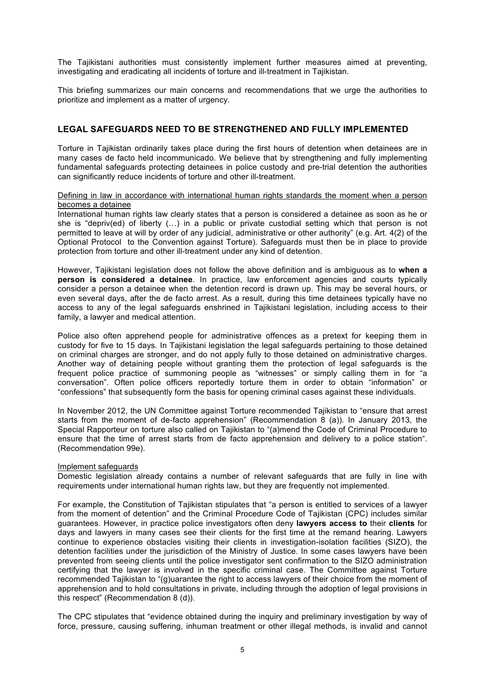The Tajikistani authorities must consistently implement further measures aimed at preventing, investigating and eradicating all incidents of torture and ill-treatment in Tajikistan.

This briefing summarizes our main concerns and recommendations that we urge the authorities to prioritize and implement as a matter of urgency.

## **LEGAL SAFEGUARDS NEED TO BE STRENGTHENED AND FULLY IMPLEMENTED**

Torture in Tajikistan ordinarily takes place during the first hours of detention when detainees are in many cases de facto held incommunicado. We believe that by strengthening and fully implementing fundamental safeguards protecting detainees in police custody and pre-trial detention the authorities can significantly reduce incidents of torture and other ill-treatment.

#### Defining in law in accordance with international human rights standards the moment when a person becomes a detainee

International human rights law clearly states that a person is considered a detainee as soon as he or she is "depriv(ed) of liberty (…) in a public or private custodial setting which that person is not permitted to leave at will by order of any judicial, administrative or other authority" (e.g. Art. 4(2) of the Optional Protocol to the Convention against Torture). Safeguards must then be in place to provide protection from torture and other ill-treatment under any kind of detention.

However, Tajikistani legislation does not follow the above definition and is ambiguous as to **when a person is considered a detainee**. In practice, law enforcement agencies and courts typically consider a person a detainee when the detention record is drawn up. This may be several hours, or even several days, after the de facto arrest. As a result, during this time detainees typically have no access to any of the legal safeguards enshrined in Tajikistani legislation, including access to their family, a lawyer and medical attention.

Police also often apprehend people for administrative offences as a pretext for keeping them in custody for five to 15 days. In Tajikistani legislation the legal safeguards pertaining to those detained on criminal charges are stronger, and do not apply fully to those detained on administrative charges. Another way of detaining people without granting them the protection of legal safeguards is the frequent police practice of summoning people as "witnesses" or simply calling them in for "a conversation". Often police officers reportedly torture them in order to obtain "information" or "confessions" that subsequently form the basis for opening criminal cases against these individuals.

In November 2012, the UN Committee against Torture recommended Tajikistan to "ensure that arrest starts from the moment of de-facto apprehension" (Recommendation  $\dot{8}$  (a)). In January 2013, the Special Rapporteur on torture also called on Tajikistan to "(a)mend the Code of Criminal Procedure to ensure that the time of arrest starts from de facto apprehension and delivery to a police station". (Recommendation 99e).

#### Implement safeguards

Domestic legislation already contains a number of relevant safeguards that are fully in line with requirements under international human rights law, but they are frequently not implemented.

For example, the Constitution of Tajikistan stipulates that "a person is entitled to services of a lawyer from the moment of detention" and the Criminal Procedure Code of Tajikistan (CPC) includes similar guarantees. However, in practice police investigators often deny **lawyers access to** their **clients** for days and lawyers in many cases see their clients for the first time at the remand hearing. Lawyers continue to experience obstacles visiting their clients in investigation-isolation facilities (SIZO), the detention facilities under the jurisdiction of the Ministry of Justice. In some cases lawyers have been prevented from seeing clients until the police investigator sent confirmation to the SIZO administration certifying that the lawyer is involved in the specific criminal case. The Committee against Torture recommended Tajikistan to "(g)uarantee the right to access lawyers of their choice from the moment of apprehension and to hold consultations in private, including through the adoption of legal provisions in this respect" (Recommendation 8 (d)).

The CPC stipulates that "evidence obtained during the inquiry and preliminary investigation by way of force, pressure, causing suffering, inhuman treatment or other illegal methods, is invalid and cannot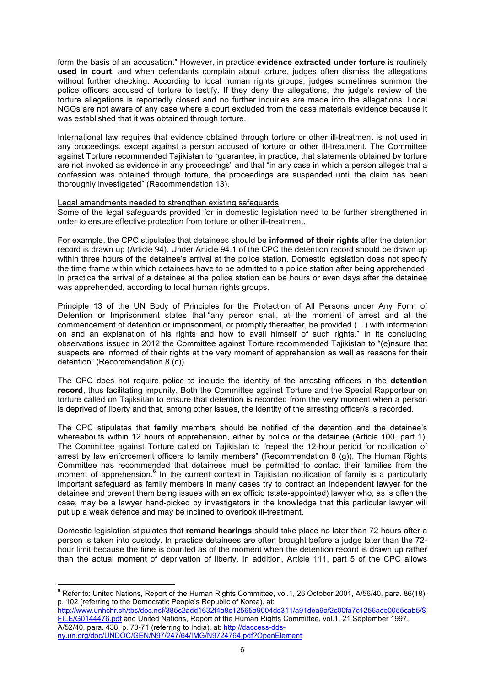form the basis of an accusation." However, in practice **evidence extracted under torture** is routinely **used in court**, and when defendants complain about torture, judges often dismiss the allegations without further checking. According to local human rights groups, judges sometimes summon the police officers accused of torture to testify. If they deny the allegations, the judge's review of the torture allegations is reportedly closed and no further inquiries are made into the allegations. Local NGOs are not aware of any case where a court excluded from the case materials evidence because it was established that it was obtained through torture.

International law requires that evidence obtained through torture or other ill-treatment is not used in any proceedings, except against a person accused of torture or other ill-treatment. The Committee against Torture recommended Tajikistan to "guarantee, in practice, that statements obtained by torture are not invoked as evidence in any proceedings" and that "in any case in which a person alleges that a confession was obtained through torture, the proceedings are suspended until the claim has been thoroughly investigated" (Recommendation 13).

#### Legal amendments needed to strengthen existing safeguards

Some of the legal safeguards provided for in domestic legislation need to be further strengthened in order to ensure effective protection from torture or other ill-treatment.

For example, the CPC stipulates that detainees should be **informed of their rights** after the detention record is drawn up (Article 94). Under Article 94.1 of the CPC the detention record should be drawn up within three hours of the detainee's arrival at the police station. Domestic legislation does not specify the time frame within which detainees have to be admitted to a police station after being apprehended. In practice the arrival of a detainee at the police station can be hours or even days after the detainee was apprehended, according to local human rights groups.

Principle 13 of the UN Body of Principles for the Protection of All Persons under Any Form of Detention or Imprisonment states that "any person shall, at the moment of arrest and at the commencement of detention or imprisonment, or promptly thereafter, be provided (…) with information on and an explanation of his rights and how to avail himself of such rights." In its concluding observations issued in 2012 the Committee against Torture recommended Tajikistan to "(e)nsure that suspects are informed of their rights at the very moment of apprehension as well as reasons for their detention" (Recommendation 8 (c)).

The CPC does not require police to include the identity of the arresting officers in the **detention record**, thus facilitating impunity. Both the Committee against Torture and the Special Rapporteur on torture called on Tajiksitan to ensure that detention is recorded from the very moment when a person is deprived of liberty and that, among other issues, the identity of the arresting officer/s is recorded.

The CPC stipulates that **family** members should be notified of the detention and the detainee's whereabouts within 12 hours of apprehension, either by police or the detainee (Article 100, part 1). The Committee against Torture called on Tajikistan to "repeal the 12-hour period for notification of arrest by law enforcement officers to family members" (Recommendation 8 (g)). The Human Rights Committee has recommended that detainees must be permitted to contact their families from the moment of apprehension.<sup>6</sup> In the current context in Tajikistan notification of family is a particularly important safeguard as family members in many cases try to contract an independent lawyer for the detainee and prevent them being issues with an ex officio (state-appointed) lawyer who, as is often the case, may be a lawyer hand-picked by investigators in the knowledge that this particular lawyer will put up a weak defence and may be inclined to overlook ill-treatment.

Domestic legislation stipulates that **remand hearings** should take place no later than 72 hours after a person is taken into custody. In practice detainees are often brought before a judge later than the 72 hour limit because the time is counted as of the moment when the detention record is drawn up rather than the actual moment of deprivation of liberty. In addition, Article 111, part 5 of the CPC allows

 $6$  Refer to: United Nations, Report of the Human Rights Committee, vol.1, 26 October 2001, A/56/40, para. 86(18), p. 102 (referring to the Democratic People's Republic of Korea), at:

http://www.unhchr.ch/tbs/doc.nsf/385c2add1632f4a8c12565a9004dc311/a91dea9af2c00fa7c1256ace0055cab5/\$ FILE/G0144476.pdf and United Nations, Report of the Human Rights Committee, vol.1, 21 September 1997, A/52/40, para. 438, p. 70-71 (referring to India), at: http://daccess-ddsny.un.org/doc/UNDOC/GEN/N97/247/64/IMG/N9724764.pdf?OpenElement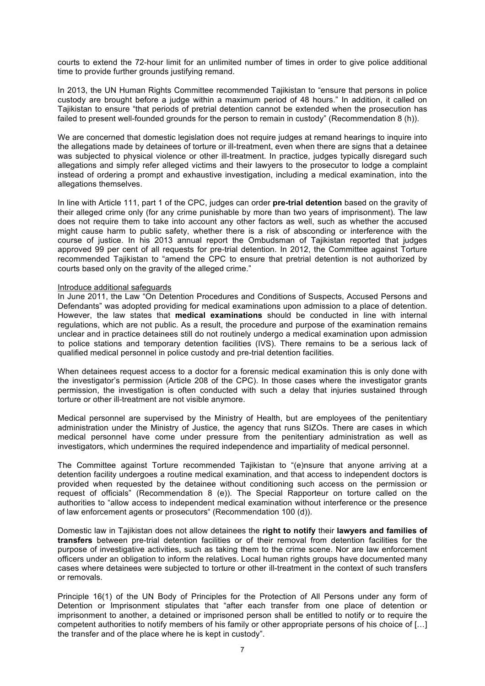courts to extend the 72-hour limit for an unlimited number of times in order to give police additional time to provide further grounds justifying remand.

In 2013, the UN Human Rights Committee recommended Tajikistan to "ensure that persons in police custody are brought before a judge within a maximum period of 48 hours." In addition, it called on Tajikistan to ensure "that periods of pretrial detention cannot be extended when the prosecution has failed to present well-founded grounds for the person to remain in custody" (Recommendation 8 (h)).

We are concerned that domestic legislation does not require judges at remand hearings to inquire into the allegations made by detainees of torture or ill-treatment, even when there are signs that a detainee was subjected to physical violence or other ill-treatment. In practice, judges typically disregard such allegations and simply refer alleged victims and their lawyers to the prosecutor to lodge a complaint instead of ordering a prompt and exhaustive investigation, including a medical examination, into the allegations themselves.

In line with Article 111, part 1 of the CPC, judges can order **pre-trial detention** based on the gravity of their alleged crime only (for any crime punishable by more than two years of imprisonment). The law does not require them to take into account any other factors as well, such as whether the accused might cause harm to public safety, whether there is a risk of absconding or interference with the course of justice. In his 2013 annual report the Ombudsman of Tajikistan reported that judges approved 99 per cent of all requests for pre-trial detention. In 2012, the Committee against Torture recommended Tajikistan to "amend the CPC to ensure that pretrial detention is not authorized by courts based only on the gravity of the alleged crime."

#### Introduce additional safeguards

In June 2011, the Law "On Detention Procedures and Conditions of Suspects, Accused Persons and Defendants" was adopted providing for medical examinations upon admission to a place of detention. However, the law states that **medical examinations** should be conducted in line with internal regulations, which are not public. As a result, the procedure and purpose of the examination remains unclear and in practice detainees still do not routinely undergo a medical examination upon admission to police stations and temporary detention facilities (IVS). There remains to be a serious lack of qualified medical personnel in police custody and pre-trial detention facilities.

When detainees request access to a doctor for a forensic medical examination this is only done with the investigator's permission (Article 208 of the CPC). In those cases where the investigator grants permission, the investigation is often conducted with such a delay that injuries sustained through torture or other ill-treatment are not visible anymore.

Medical personnel are supervised by the Ministry of Health, but are employees of the penitentiary administration under the Ministry of Justice, the agency that runs SIZOs. There are cases in which medical personnel have come under pressure from the penitentiary administration as well as investigators, which undermines the required independence and impartiality of medical personnel.

The Committee against Torture recommended Tajikistan to "(e)nsure that anyone arriving at a detention facility undergoes a routine medical examination, and that access to independent doctors is provided when requested by the detainee without conditioning such access on the permission or request of officials" (Recommendation 8 (e)). The Special Rapporteur on torture called on the authorities to "allow access to independent medical examination without interference or the presence of law enforcement agents or prosecutors" (Recommendation 100 (d)).

Domestic law in Tajikistan does not allow detainees the **right to notify** their **lawyers and families of transfers** between pre-trial detention facilities or of their removal from detention facilities for the purpose of investigative activities, such as taking them to the crime scene. Nor are law enforcement officers under an obligation to inform the relatives. Local human rights groups have documented many cases where detainees were subjected to torture or other ill-treatment in the context of such transfers or removals.

Principle 16(1) of the UN Body of Principles for the Protection of All Persons under any form of Detention or Imprisonment stipulates that "after each transfer from one place of detention or imprisonment to another, a detained or imprisoned person shall be entitled to notify or to require the competent authorities to notify members of his family or other appropriate persons of his choice of […] the transfer and of the place where he is kept in custody".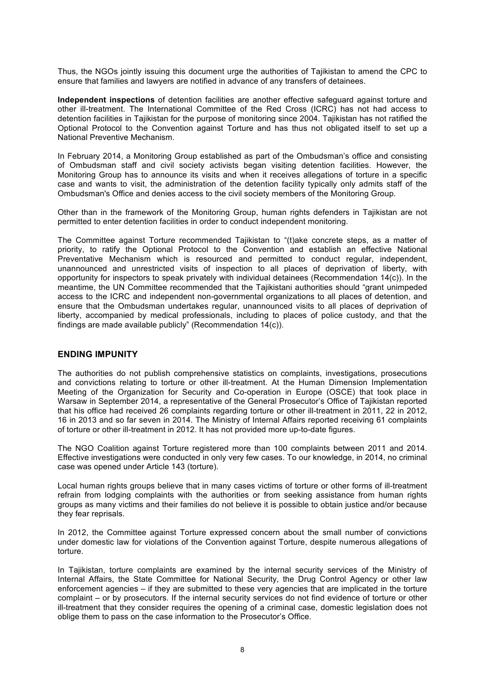Thus, the NGOs jointly issuing this document urge the authorities of Tajikistan to amend the CPC to ensure that families and lawyers are notified in advance of any transfers of detainees.

**Independent inspections** of detention facilities are another effective safeguard against torture and other ill-treatment. The International Committee of the Red Cross (ICRC) has not had access to detention facilities in Tajikistan for the purpose of monitoring since 2004. Tajikistan has not ratified the Optional Protocol to the Convention against Torture and has thus not obligated itself to set up a National Preventive Mechanism.

In February 2014, a Monitoring Group established as part of the Ombudsman's office and consisting of Ombudsman staff and civil society activists began visiting detention facilities. However, the Monitoring Group has to announce its visits and when it receives allegations of torture in a specific case and wants to visit, the administration of the detention facility typically only admits staff of the Ombudsman's Office and denies access to the civil society members of the Monitoring Group.

Other than in the framework of the Monitoring Group, human rights defenders in Tajikistan are not permitted to enter detention facilities in order to conduct independent monitoring.

The Committee against Torture recommended Tajikistan to "(t)ake concrete steps, as a matter of priority, to ratify the Optional Protocol to the Convention and establish an effective National Preventative Mechanism which is resourced and permitted to conduct regular, independent, unannounced and unrestricted visits of inspection to all places of deprivation of liberty, with opportunity for inspectors to speak privately with individual detainees (Recommendation 14(c)). In the meantime, the UN Committee recommended that the Tajikistani authorities should "grant unimpeded access to the ICRC and independent non-governmental organizations to all places of detention, and ensure that the Ombudsman undertakes regular, unannounced visits to all places of deprivation of liberty, accompanied by medical professionals, including to places of police custody, and that the findings are made available publicly" (Recommendation 14(c)).

## **ENDING IMPUNITY**

The authorities do not publish comprehensive statistics on complaints, investigations, prosecutions and convictions relating to torture or other ill-treatment. At the Human Dimension Implementation Meeting of the Organization for Security and Co-operation in Europe (OSCE) that took place in Warsaw in September 2014, a representative of the General Prosecutor's Office of Tajikistan reported that his office had received 26 complaints regarding torture or other ill-treatment in 2011, 22 in 2012, 16 in 2013 and so far seven in 2014. The Ministry of Internal Affairs reported receiving 61 complaints of torture or other ill-treatment in 2012. It has not provided more up-to-date figures.

The NGO Coalition against Torture registered more than 100 complaints between 2011 and 2014. Effective investigations were conducted in only very few cases. To our knowledge, in 2014, no criminal case was opened under Article 143 (torture).

Local human rights groups believe that in many cases victims of torture or other forms of ill-treatment refrain from lodging complaints with the authorities or from seeking assistance from human rights groups as many victims and their families do not believe it is possible to obtain justice and/or because they fear reprisals.

In 2012, the Committee against Torture expressed concern about the small number of convictions under domestic law for violations of the Convention against Torture, despite numerous allegations of torture.

In Tajikistan, torture complaints are examined by the internal security services of the Ministry of Internal Affairs, the State Committee for National Security, the Drug Control Agency or other law enforcement agencies – if they are submitted to these very agencies that are implicated in the torture complaint – or by prosecutors. If the internal security services do not find evidence of torture or other ill-treatment that they consider requires the opening of a criminal case, domestic legislation does not oblige them to pass on the case information to the Prosecutor's Office.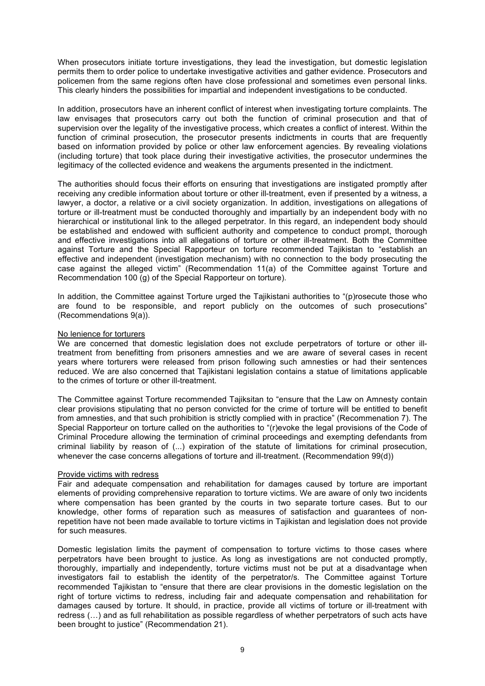When prosecutors initiate torture investigations, they lead the investigation, but domestic legislation permits them to order police to undertake investigative activities and gather evidence. Prosecutors and policemen from the same regions often have close professional and sometimes even personal links. This clearly hinders the possibilities for impartial and independent investigations to be conducted.

In addition, prosecutors have an inherent conflict of interest when investigating torture complaints. The law envisages that prosecutors carry out both the function of criminal prosecution and that of supervision over the legality of the investigative process, which creates a conflict of interest. Within the function of criminal prosecution, the prosecutor presents indictments in courts that are frequently based on information provided by police or other law enforcement agencies. By revealing violations (including torture) that took place during their investigative activities, the prosecutor undermines the legitimacy of the collected evidence and weakens the arguments presented in the indictment.

The authorities should focus their efforts on ensuring that investigations are instigated promptly after receiving any credible information about torture or other ill-treatment, even if presented by a witness, a lawyer, a doctor, a relative or a civil society organization. In addition, investigations on allegations of torture or ill-treatment must be conducted thoroughly and impartially by an independent body with no hierarchical or institutional link to the alleged perpetrator. In this regard, an independent body should be established and endowed with sufficient authority and competence to conduct prompt, thorough and effective investigations into all allegations of torture or other ill-treatment. Both the Committee against Torture and the Special Rapporteur on torture recommended Tajikistan to "establish an effective and independent (investigation mechanism) with no connection to the body prosecuting the case against the alleged victim" (Recommendation 11(a) of the Committee against Torture and Recommendation 100 (g) of the Special Rapporteur on torture).

In addition, the Committee against Torture urged the Tajikistani authorities to "(p)rosecute those who are found to be responsible, and report publicly on the outcomes of such prosecutions" (Recommendations 9(a)).

#### No lenience for torturers

We are concerned that domestic legislation does not exclude perpetrators of torture or other illtreatment from benefitting from prisoners amnesties and we are aware of several cases in recent years where torturers were released from prison following such amnesties or had their sentences reduced. We are also concerned that Tajikistani legislation contains a statue of limitations applicable to the crimes of torture or other ill-treatment.

The Committee against Torture recommended Tajiksitan to "ensure that the Law on Amnesty contain clear provisions stipulating that no person convicted for the crime of torture will be entitled to benefit from amnesties, and that such prohibition is strictly complied with in practice" (Recommenation 7). The Special Rapporteur on torture called on the authorities to "(r)evoke the legal provisions of the Code of Criminal Procedure allowing the termination of criminal proceedings and exempting defendants from criminal liability by reason of (...) expiration of the statute of limitations for criminal prosecution, whenever the case concerns allegations of torture and ill-treatment. (Recommendation 99(d))

#### Provide victims with redress

Fair and adequate compensation and rehabilitation for damages caused by torture are important elements of providing comprehensive reparation to torture victims. We are aware of only two incidents where compensation has been granted by the courts in two separate torture cases. But to our knowledge, other forms of reparation such as measures of satisfaction and guarantees of nonrepetition have not been made available to torture victims in Tajikistan and legislation does not provide for such measures.

Domestic legislation limits the payment of compensation to torture victims to those cases where perpetrators have been brought to justice. As long as investigations are not conducted promptly, thoroughly, impartially and independently, torture victims must not be put at a disadvantage when investigators fail to establish the identity of the perpetrator/s. The Committee against Torture recommended Tajikistan to "ensure that there are clear provisions in the domestic legislation on the right of torture victims to redress, including fair and adequate compensation and rehabilitation for damages caused by torture. It should, in practice, provide all victims of torture or ill-treatment with redress (…) and as full rehabilitation as possible regardless of whether perpetrators of such acts have been brought to justice" (Recommendation 21).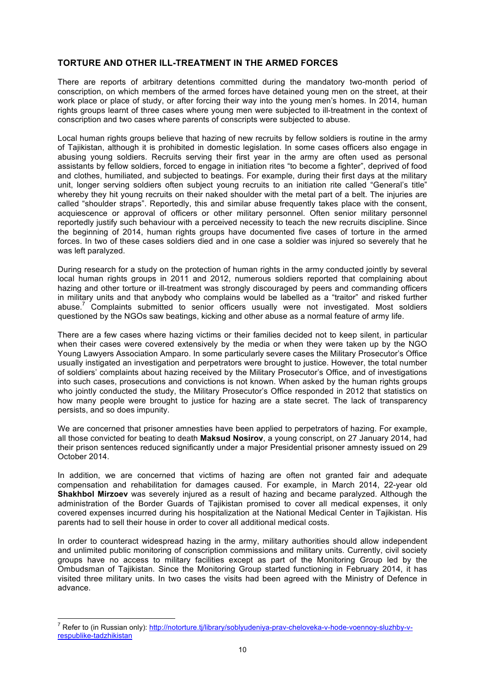## **TORTURE AND OTHER ILL-TREATMENT IN THE ARMED FORCES**

There are reports of arbitrary detentions committed during the mandatory two-month period of conscription, on which members of the armed forces have detained young men on the street, at their work place or place of study, or after forcing their way into the young men's homes. In 2014, human rights groups learnt of three cases where young men were subjected to ill-treatment in the context of conscription and two cases where parents of conscripts were subjected to abuse.

Local human rights groups believe that hazing of new recruits by fellow soldiers is routine in the army of Tajikistan, although it is prohibited in domestic legislation. In some cases officers also engage in abusing young soldiers. Recruits serving their first year in the army are often used as personal assistants by fellow soldiers, forced to engage in initiation rites "to become a fighter", deprived of food and clothes, humiliated, and subjected to beatings. For example, during their first days at the military unit, longer serving soldiers often subject young recruits to an initiation rite called "General's title" whereby they hit young recruits on their naked shoulder with the metal part of a belt. The injuries are called "shoulder straps". Reportedly, this and similar abuse frequently takes place with the consent, acquiescence or approval of officers or other military personnel. Often senior military personnel reportedly justify such behaviour with a perceived necessity to teach the new recruits discipline. Since the beginning of 2014, human rights groups have documented five cases of torture in the armed forces. In two of these cases soldiers died and in one case a soldier was injured so severely that he was left paralyzed.

During research for a study on the protection of human rights in the army conducted jointly by several local human rights groups in 2011 and 2012, numerous soldiers reported that complaining about hazing and other torture or ill-treatment was strongly discouraged by peers and commanding officers in military units and that anybody who complains would be labelled as a "traitor" and risked further abuse.<sup>7</sup> Complaints submitted to senior officers usually were not investigated. Most soldiers questioned by the NGOs saw beatings, kicking and other abuse as a normal feature of army life.

There are a few cases where hazing victims or their families decided not to keep silent, in particular when their cases were covered extensively by the media or when they were taken up by the NGO Young Lawyers Association Amparo. In some particularly severe cases the Military Prosecutor's Office usually instigated an investigation and perpetrators were brought to justice. However, the total number of soldiers' complaints about hazing received by the Military Prosecutor's Office, and of investigations into such cases, prosecutions and convictions is not known. When asked by the human rights groups who jointly conducted the study, the Military Prosecutor's Office responded in 2012 that statistics on how many people were brought to justice for hazing are a state secret. The lack of transparency persists, and so does impunity.

We are concerned that prisoner amnesties have been applied to perpetrators of hazing. For example, all those convicted for beating to death **Maksud Nosirov**, a young conscript, on 27 January 2014, had their prison sentences reduced significantly under a major Presidential prisoner amnesty issued on 29 October 2014.

In addition, we are concerned that victims of hazing are often not granted fair and adequate compensation and rehabilitation for damages caused. For example, in March 2014, 22-year old **Shakhbol Mirzoev** was severely injured as a result of hazing and became paralyzed. Although the administration of the Border Guards of Tajikistan promised to cover all medical expenses, it only covered expenses incurred during his hospitalization at the National Medical Center in Tajikistan. His parents had to sell their house in order to cover all additional medical costs.

In order to counteract widespread hazing in the army, military authorities should allow independent and unlimited public monitoring of conscription commissions and military units. Currently, civil society groups have no access to military facilities except as part of the Monitoring Group led by the Ombudsman of Tajikistan. Since the Monitoring Group started functioning in February 2014, it has visited three military units. In two cases the visits had been agreed with the Ministry of Defence in advance.

<sup>&</sup>lt;u>.</u><br><sup>7</sup> Refer to (in Russian only): <u>http://notorture.tj/library/soblyudeniya-prav-cheloveka-v-hode-voennoy-sluzhby-v-</u> respublike-tadzhikistan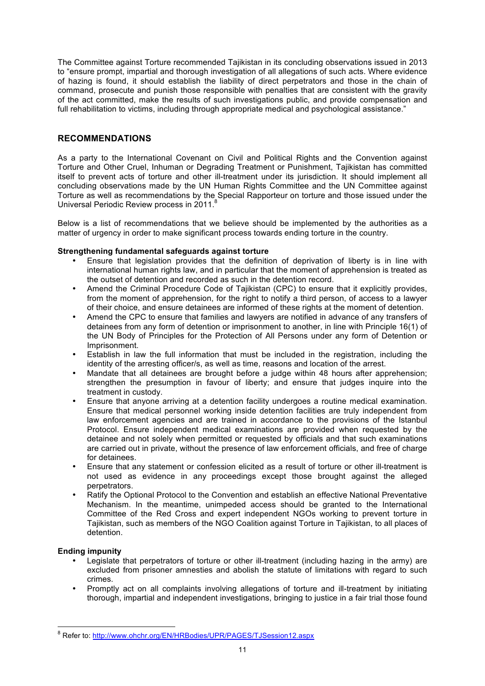The Committee against Torture recommended Tajikistan in its concluding observations issued in 2013 to "ensure prompt, impartial and thorough investigation of all allegations of such acts. Where evidence of hazing is found, it should establish the liability of direct perpetrators and those in the chain of command, prosecute and punish those responsible with penalties that are consistent with the gravity of the act committed, make the results of such investigations public, and provide compensation and full rehabilitation to victims, including through appropriate medical and psychological assistance."

## **RECOMMENDATIONS**

As a party to the International Covenant on Civil and Political Rights and the Convention against Torture and Other Cruel, Inhuman or Degrading Treatment or Punishment, Tajikistan has committed itself to prevent acts of torture and other ill-treatment under its jurisdiction. It should implement all concluding observations made by the UN Human Rights Committee and the UN Committee against Torture as well as recommendations by the Special Rapporteur on torture and those issued under the Universal Periodic Review process in 2011.<sup>8</sup>

Below is a list of recommendations that we believe should be implemented by the authorities as a matter of urgency in order to make significant process towards ending torture in the country.

## **Strengthening fundamental safeguards against torture**

- Ensure that legislation provides that the definition of deprivation of liberty is in line with international human rights law, and in particular that the moment of apprehension is treated as the outset of detention and recorded as such in the detention record.
- Amend the Criminal Procedure Code of Tajikistan (CPC) to ensure that it explicitly provides, from the moment of apprehension, for the right to notify a third person, of access to a lawyer of their choice, and ensure detainees are informed of these rights at the moment of detention.
- Amend the CPC to ensure that families and lawyers are notified in advance of any transfers of detainees from any form of detention or imprisonment to another, in line with Principle 16(1) of the UN Body of Principles for the Protection of All Persons under any form of Detention or Imprisonment.
- Establish in law the full information that must be included in the registration, including the identity of the arresting officer/s, as well as time, reasons and location of the arrest.
- Mandate that all detainees are brought before a judge within 48 hours after apprehension; strengthen the presumption in favour of liberty; and ensure that judges inquire into the treatment in custody.
- Ensure that anyone arriving at a detention facility undergoes a routine medical examination. Ensure that medical personnel working inside detention facilities are truly independent from law enforcement agencies and are trained in accordance to the provisions of the Istanbul Protocol. Ensure independent medical examinations are provided when requested by the detainee and not solely when permitted or requested by officials and that such examinations are carried out in private, without the presence of law enforcement officials, and free of charge for detainees.
- Ensure that any statement or confession elicited as a result of torture or other ill-treatment is not used as evidence in any proceedings except those brought against the alleged perpetrators.
- Ratify the Optional Protocol to the Convention and establish an effective National Preventative Mechanism. In the meantime, unimpeded access should be granted to the International Committee of the Red Cross and expert independent NGOs working to prevent torture in Tajikistan, such as members of the NGO Coalition against Torture in Tajikistan, to all places of detention.

## **Ending impunity**

- Legislate that perpetrators of torture or other ill-treatment (including hazing in the army) are excluded from prisoner amnesties and abolish the statute of limitations with regard to such crimes.
- Promptly act on all complaints involving allegations of torture and ill-treatment by initiating thorough, impartial and independent investigations, bringing to justice in a fair trial those found

<sup>&</sup>lt;u>.</u><br><sup>8</sup> Refer to: <u>http://www.ohchr.org/EN/HRBodies/UPR/PAGES/TJSession12.aspx</u>